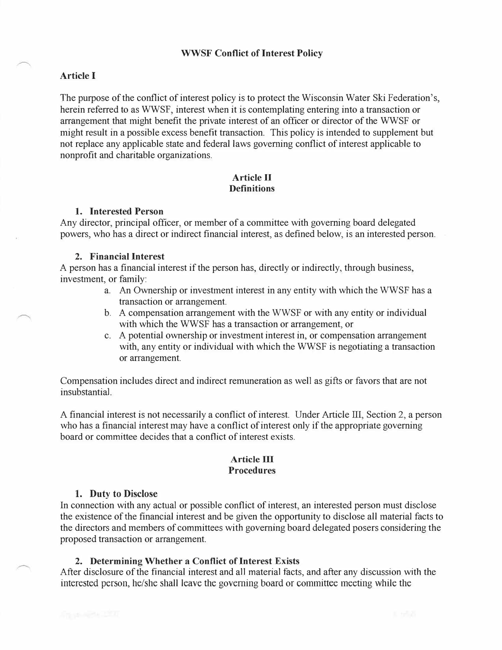## **Article I**

The purpose of the conflict of interest policy is to protect the Wisconsin Water Ski Federation's, herein referred to as WWSF, interest when it is contemplating entering into a transaction or arrangement that might benefit the private interest of an officer or director of the WWSF or might result in a possible excess benefit transaction. This policy is intended to supplement but not replace any applicable state and federal laws governing conflict of interest applicable to nonprofit and charitable organizations.

## **Article II Definitions**

## **1. Interested Person**

Any director, principal officer, or member of a committee with governing board delegated powers, who has a direct or indirect financial interest, as defined below, is an interested person.

## **2. Financial Interest**

A person has a financial interest if the person has, directly or indirectly, through business, investment, or family:

- a. An Ownership or investment interest in any entity with which the WWSF has a transaction or arrangement.
- b. A compensation arrangement with the WWSF or with any entity or individual with which the WWSF has a transaction or arrangement, or
- c. A potential ownership or investment interest in, or compensation arrangement with, any entity or individual with which the WWSF is negotiating a transaction or arrangement.

Compensation includes direct and indirect remuneration as well as gifts or favors that are not insubstantial.

A financial interest is not necessarily a conflict of interest. Under Article III, Section 2, a person who has a financial interest may have a conflict of interest only if the appropriate governing board or committee decides that a conflict of interest exists.

## **Article ill Procedures**

## **1. Duty to Disclose**

In connection with any actual or possible conflict of interest, an interested person must disclose the existence of the financial interest and be given the opportunity to disclose all material facts to the directors and members of committees with governing board delegated posers considering the proposed transaction or arrangement.

## **2. Determining Whether a Conflict of Interest Exists**

After disclosure of the financial interest and all material facts, and after any discussion with the interested person, he/she shall leave the governing board or committee meeting while the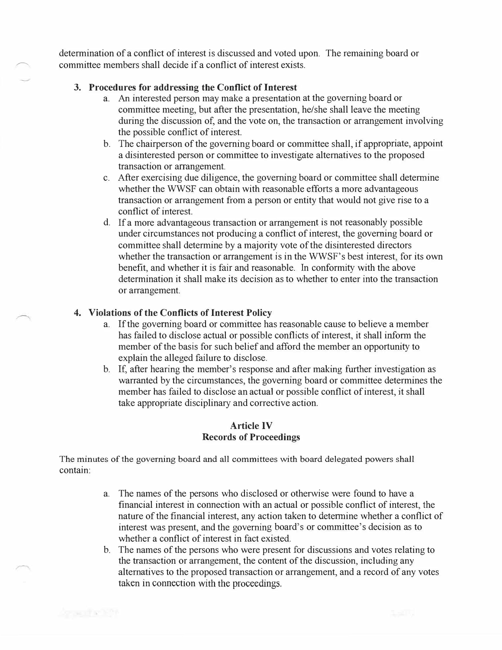determination of a conflict of interest is discussed and voted upon. The remaining board or committee members shall decide if a conflict of interest exists.

## **3. Procedures for addressing the Conflict of Interest**

- a. An interested person may make a presentation at the governing board or committee meeting, but after the presentation, he/she shall leave the meeting during the discussion of, and the vote on, the transaction or arrangement involving the possible conflict of interest.
- b. The chairperson of the governing board or committee shall, if appropriate, appoint a disinterested person or committee to investigate alternatives to the proposed transaction or arrangement.
- c. After exercising due diligence, the governing board or committee shall determine whether the WWSF can obtain with reasonable efforts a more advantageous transaction or arrangement from a person or entity that would not give rise to a conflict of interest.
- d. If a more advantageous transaction or arrangement is not reasonably possible under circumstances not producing a conflict of interest, the governing board or committee shall determine by a majority vote of the disinterested directors whether the transaction or arrangement is in the WWSF's best interest, for its own benefit, and whether it is fair and reasonable. In conformity with the above determination it shall make its decision as to whether to enter into the transaction or arrangement.

# **4. Violations of the Conflicts of Interest Policy**

**Server For STAR** 

- a. If the governing board or committee has reasonable cause to believe a member has failed to disclose actual or possible conflicts of interest, it shall infonn the member of the basis for such belief and afford the member an opportunity to explain the alleged failure to disclose.
- b. If, after hearing the member's response and after making further investigation as warranted by the circumstances, the governing board or committee determines the member has failed to disclose an actual or possible conflict of interest, it shall take appropriate disciplinary and corrective action.

# **Article** IV **Records of Proceedings**

The minutes of the governing board and all committees with board delegated powers shall contain:

- a. The names of the persons who disclosed or otherwise were found to have a financial interest in connection with an actual or possible conflict of interest, the nature of the financial interest, any action taken to determine whether a conflict of interest was present, and the governing board's or committee's decision as to whether a conflict of interest in fact existed.
- b. The names of the persons who were present for discussions and votes relating to the transaction or arrangement, the content of the discussion, including any alternatives to the proposed transaction or arrangement, and a record of any votes taken in connection with the proceedings.